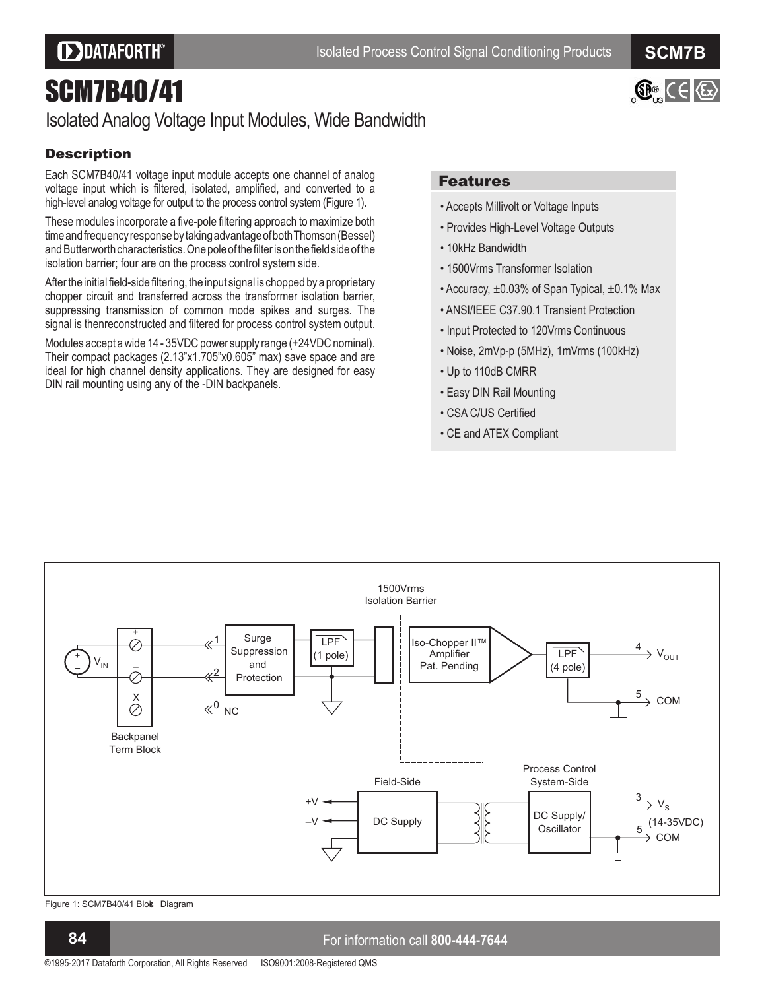$\bigoplus_{k=1}^{\infty}$  ( $\bigoplus_{k=1}^{\infty}$ 

# SCM7B40/41

## Isolated Analog Voltage Input Modules, Wide Bandwidth

## **Description**

Each SCM7B40/41 voltage input module accepts one channel of analog voltage input which is filtered, isolated, amplified, and converted to a high-level analog voltage for output to the process control system (Figure 1).

These modules incorporate a five-pole filtering approach to maximize both time and frequency response by taking advantage of both Thomson (Bessel) and Butterworth characteristics. One pole of the filter is on the field side of the isolation barrier; four are on the process control system side.

After the initial field-side filtering, the input signal is chopped by a proprietary chopper circuit and transferred across the transformer isolation barrier, suppressing transmission of common mode spikes and surges. The signal is thenreconstructed and filtered for process control system output.

Modules accept a wide 14 - 35VDC power supply range (+24VDC nominal). Their compact packages (2.13"x1.705"x0.605" max) save space and are ideal for high channel density applications. They are designed for easy DIN rail mounting using any of the -DIN backpanels.

### Features

- Accepts Millivolt or Voltage Inputs
- Provides High-Level Voltage Outputs
- 10kHz Bandwidth
- 1500Vrms Transformer Isolation
- Accuracy,  $\pm 0.03\%$  of Span Typical,  $\pm 0.1\%$  Max
- ANSI/IEEE C37.90.1 Transient Protection
- Input Protected to 120Vrms Continuous
- Noise, 2mVp-p (5MHz), 1mVrms (100kHz)
- Up to 110dB CMRR
- Easy DIN Rail Mounting
- CSA C/US Certified
- CE and ATEX Compliant



Figure 1: SCM7B40/41 Blok Diagram